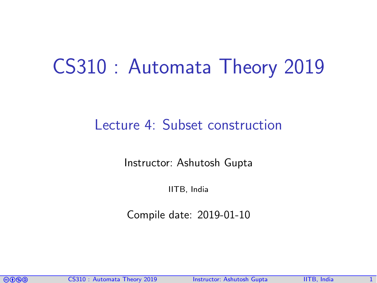## CS310 : Automata Theory 2019

## Lecture 4: Subset construction

Instructor: [Ashutosh Gupta](http://www.cse.iitb.ac.in/~akg/)

IITB, India

Compile date: 2019-01-10

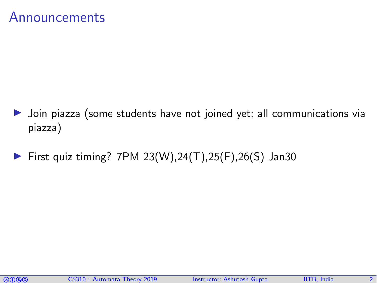### Announcements

- I Join piazza (some students have not joined yet; all communications via piazza)
- ▶ First quiz timing? 7PM  $23(W)$ ,  $24(T)$ ,  $25(F)$ ,  $26(S)$  Jan30

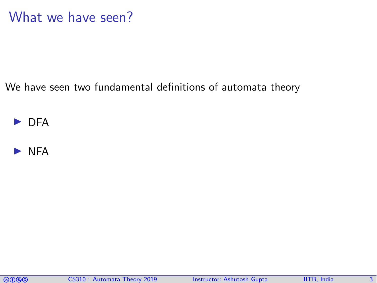## What we have seen?

We have seen two fundamental definitions of automata theory





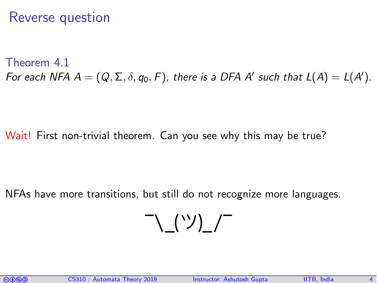## Reverse question

<span id="page-3-0"></span>Theorem 4.1 For each NFA  $A=(Q,\Sigma,\delta,q_0,F)$ , there is a DFA A' such that  $L(A)=L(A').$ 

Wait! First non-trivial theorem. Can you see why this may be true?

NFAs have more transitions, but still do not recognize more languages.

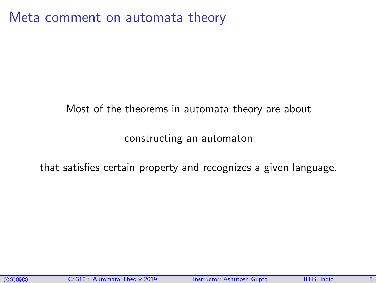Meta comment on automata theory

#### Most of the theorems in automata theory are about

#### constructing an automaton

that satisfies certain property and recognizes a given language.

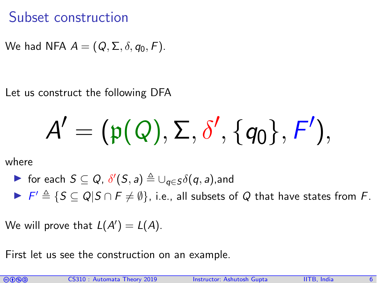## Subset construction

We had NFA  $A = (Q, \Sigma, \delta, q_0, F)$ .

Let us construct the following DFA

$$
A'=(\mathfrak{p}(\mathit{Q}),\Sigma,\delta',\{q_0\},\digamma'),
$$

where

\n- for each 
$$
S \subseteq Q
$$
,  $\delta'(S, a) \triangleq \bigcup_{q \in S} \delta(q, a)$ , and
\n- $F' \triangleq \{S \subseteq Q | S \cap F \neq \emptyset\}$ , i.e., all subsets of  $Q$  that have states from  $F$ .
\n

We will prove that  $L(A') = L(A)$ .

First let us see the construction on an example.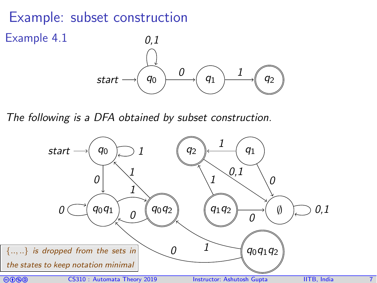## Example: subset construction

Example 4.1



The following is a DFA obtained by subset construction.

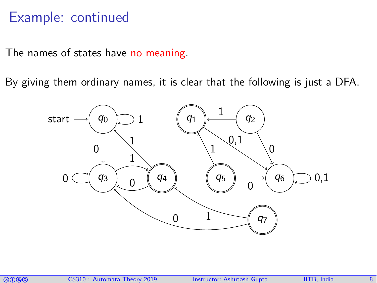## Example: continued

The names of states have no meaning.

By giving them ordinary names, it is clear that the following is just a DFA.



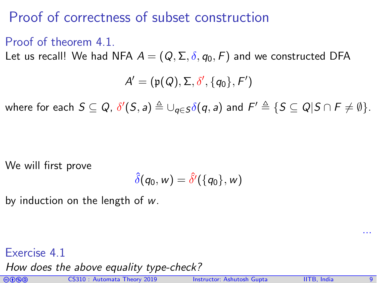## Proof of correctness of subset construction

#### Proof of theorem [4.1.](#page-3-0)

Let us recall! We had NFA  $A = (Q, \Sigma, \delta, q_0, F)$  and we constructed DFA

$$
A'=(\mathfrak{p}(\mathit{Q}),\Sigma,\delta',\{q_0\},F')
$$

where for each  $S\subseteq Q$ ,  $\delta'(S,a)\triangleq \cup_{q\in S}\delta(q,a)$  and  $F'\triangleq \{S\subseteq Q|S\cap F\neq \emptyset\}.$ 

We will first prove

$$
\hat{\delta}(q_0, w) = \hat{\delta'}(\{q_0\}, w)
$$

by induction on the length of w.

#### Exercise 4.1

How does the above equality type-check?



...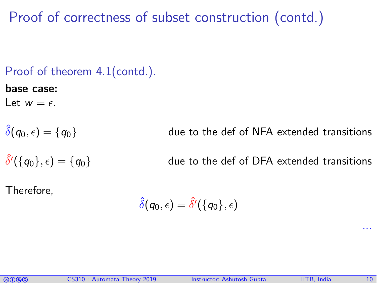Proof of correctness of subset construction (contd.)

#### Proof of theorem [4.1\(](#page-3-0)contd.).

#### base case:

Let  $w = \epsilon$ .

 $\hat{\delta}'(\{q_0\},\epsilon)=\{q_0\}$ 

 $\hat{\delta}(q_0, \epsilon) = \{q_0\}$  due to the def of NFA extended transitions

due to the def of DFA extended transitions

Therefore,

 $\hat{\delta}(q_0, \epsilon) = \hat{\delta'}(\{q_0\}, \epsilon)$ 



...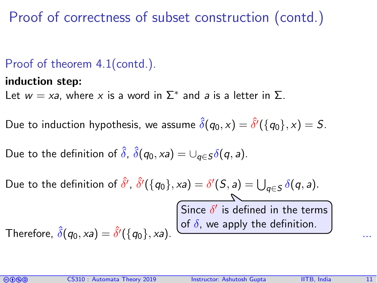Proof of correctness of subset construction (contd.)

### Proof of theorem [4.1\(](#page-3-0)contd.).

#### induction step:

Let  $w = xa$ , where x is a word in  $\Sigma^*$  and a is a letter in  $\Sigma$ .

Due to induction hypothesis, we assume  $\hat{\delta}(q_0, \mathrm{x}) = \hat{\delta'}(\{q_0\}, \mathrm{x}) = S.$ 

Due to the definition of  $\hat{\delta}$ ,  $\hat{\delta}(q_0, xa) = \bigcup_{\alpha \in S} \delta(q, a)$ .

Due to the definition of  $\hat{\delta}', \hat{\delta}'(\{q_0\}, x) = \delta'(S, a) = \bigcup_{q \in S} \delta(q, a).$ Therefore,  $\hat{\delta}(q_0, xa) = \hat{\delta'}(\{q_0\}, xa)$ .  $\overline{\delta''(q_0, xa)}$ . Since  $\delta'$  is defined in the terms of  $\delta$ , we apply the definition.

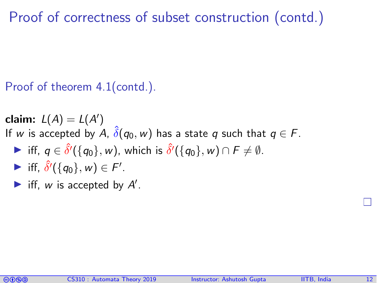Proof of correctness of subset construction (contd.)

Proof of theorem [4.1\(](#page-3-0)contd.).

claim:  $L(A) = L(A')$ If w is accepted by A,  $\hat{\delta}(q_0, w)$  has a state q such that  $q \in F$ . **If**,  $q \in \hat{\delta}'(\{q_0\}, w)$ , which is  $\hat{\delta}'(\{q_0\}, w) \cap F \neq \emptyset$ .

- **►** iff,  $\hat{\delta}'(\{q_0\}, w) \in F'.$
- Iff, w is accepted by  $A'$ .

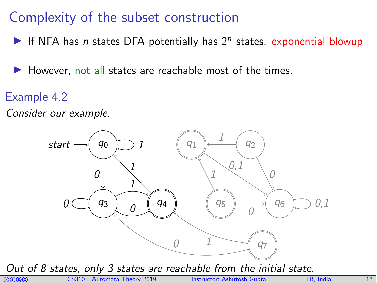## Complexity of the subset construction

- If NFA has n states DFA potentially has  $2^n$  states. exponential blowup
- $\blacktriangleright$  However, not all states are reachable most of the times.
- Example 4.2
- Consider our example.



Out of 8 states, only 3 states are reachable from the initial state.

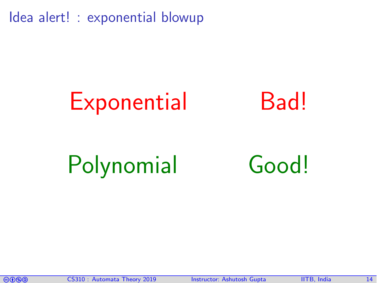Idea alert! : exponential blowup

# Exponential Bad!



# Polynomial Good!

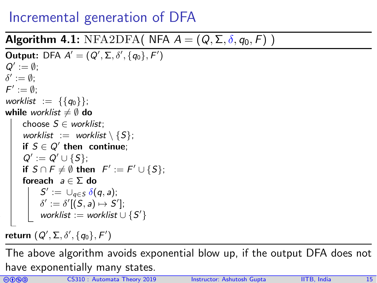## Incremental generation of DFA

#### **Algorithm 4.1:** NFA2DFA( NFA  $A = (Q, \Sigma, \delta, q_0, F)$  )

```
Output: DFA A' = (Q', \Sigma, \delta', \{q_0\}, F')Q' := \emptyset;\delta' := \emptyset;\mathcal{F}' := \emptyset;worklist := \{\{q_0\}\};while worklist \neq \emptyset do
        choose S \in worklist;
        worklist := worklist \{S};
 \qquad if S \in Q' then continue;
 Q' := Q' \cup \{S\};if S \cap F \neq \emptyset then F' := F' \cup \{S\};foreach a \in \Sigma do
\vert \quad \vert \quad S':=\, \cup_{q\in S}\,\delta(q,a);\delta' := \delta'[(S, a) \mapsto S'];\|\quad\| worklist := worklist \cup {S'}
```
return  $(Q',\Sigma,\delta',\{q_0\},F')$ 

The above algorithm avoids exponential blow up, if the output DFA does not have exponentially many states.

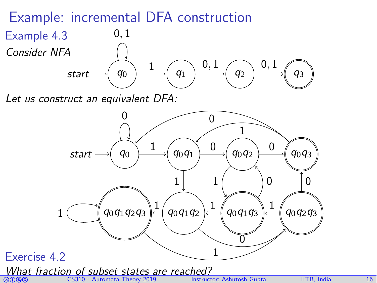## Example: incremental DFA construction



Let us construct an equivalent DFA:

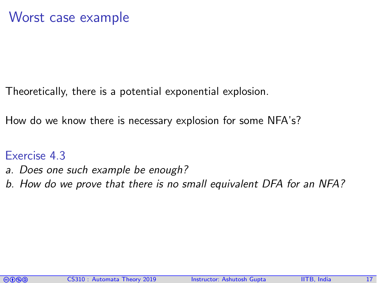Theoretically, there is a potential exponential explosion.

How do we know there is necessary explosion for some NFA's?

#### Exercise 4.3

- a. Does one such example be enough?
- b. How do we prove that there is no small equivalent DFA for an NFA?

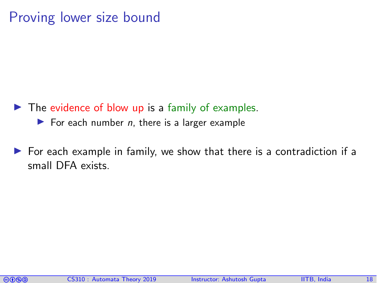## Proving lower size bound

- $\blacktriangleright$  The evidence of blow up is a family of examples.
	- $\blacktriangleright$  For each number *n*, there is a larger example
- $\triangleright$  For each example in family, we show that there is a contradiction if a small DFA exists.

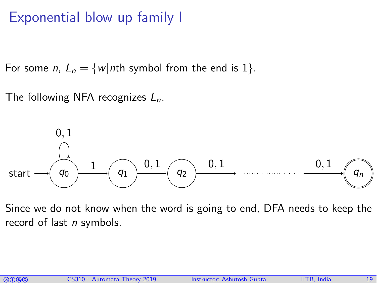## Exponential blow up family I

For some *n*,  $L_n = \{w | n$ th symbol from the end is 1.

The following NFA recognizes  $L_n$ .



Since we do not know when the word is going to end, DFA needs to keep the record of last  $n$  symbols.

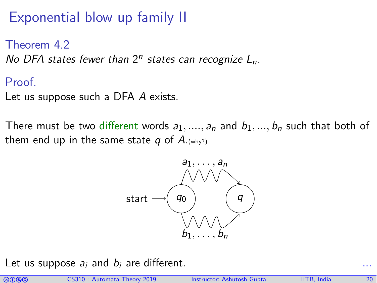Exponential blow up family II

Theorem 4.2 No DFA states fewer than  $2^n$  states can recognize  $L_n$ .

#### Proof.

Let us suppose such a DFA A exists.

There must be two different words  $a_1, ..., a_n$  and  $b_1, ..., b_n$  such that both of them end up in the same state q of  $A_{\cdot(\text{why?})}$ 



Let us suppose  $a_i$  and  $b_i$  are different.

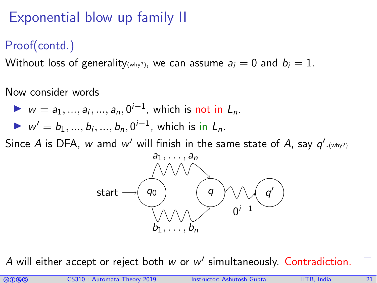## Exponential blow up family II

## Proof(contd.)

Without loss of generality(why?), we can assume  $a_i = 0$  and  $b_i = 1$ .

Now consider words

► 
$$
w = a_1, ..., a_i, ..., a_n, 0^{i-1}
$$
, which is not in  $L_n$ .  
\n►  $w' = b_1, ..., b_i, ..., b_n, 0^{i-1}$ , which is in  $L_n$ .

Since A is DFA,  $w$  amd  $w'$  will finish in the same state of A, say  $q'._{(\text{why?})}$ 



A will either accept or reject both  $w$  or  $w'$  simultaneously. Contradiction.

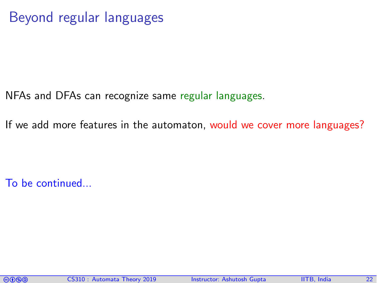NFAs and DFAs can recognize same regular languages.

If we add more features in the automaton, would we cover more languages?

To be continued...